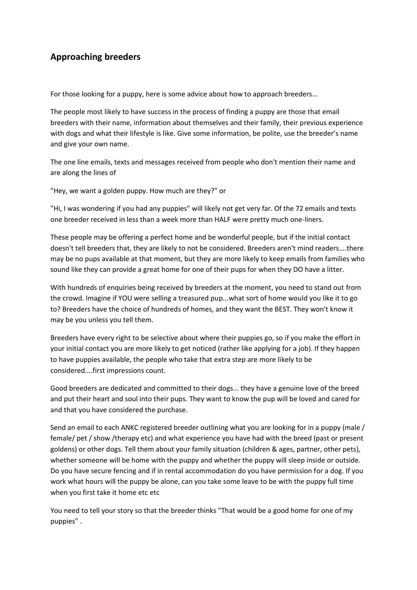## **Approaching breeders**

For those looking for a puppy, here is some advice about how to approach breeders...

The people most likely to have success in the process of finding a puppy are those that email breeders with their name, information about themselves and their family, their previous experience with dogs and what their lifestyle is like. Give some information, be polite, use the breeder's name and give your own name.

The one line emails, texts and messages received from people who don't mention their name and are along the lines of

"Hey, we want a golden puppy. How much are they?" or

"Hi, I was wondering if you had any puppies" will likely not get very far. Of the 72 emails and texts one breeder received in less than a week more than HALF were pretty much one-liners.

These people may be offering a perfect home and be wonderful people, but if the initial contact doesn't tell breeders that, they are likely to not be considered. Breeders aren't mind readers....there may be no pups available at that moment, but they are more likely to keep emails from families who sound like they can provide a great home for one of their pups for when they DO have a litter.

With hundreds of enquiries being received by breeders at the moment, you need to stand out from the crowd. Imagine if YOU were selling a treasured pup...what sort of home would you like it to go to? Breeders have the choice of hundreds of homes, and they want the BEST. They won't know it may be you unless you tell them.

Breeders have every right to be selective about where their puppies go, so if you make the effort in your initial contact you are more likely to get noticed (rather like applying for a job). If they happen to have puppies available, the people who take that extra step are more likely to be considered....first impressions count.

Good breeders are dedicated and committed to their dogs... they have a genuine love of the breed and put their heart and soul into their pups. They want to know the pup will be loved and cared for and that you have considered the purchase.

Send an email to each ANKC registered breeder outlining what you are looking for in a puppy (male / female/ pet / show /therapy etc) and what experience you have had with the breed (past or present goldens) or other dogs. Tell them about your family situation (children & ages, partner, other pets), whether someone will be home with the puppy and whether the puppy will sleep inside or outside. Do you have secure fencing and if in rental accommodation do you have permission for a dog. If you work what hours will the puppy be alone, can you take some leave to be with the puppy full time when you first take it home etc etc

You need to tell your story so that the breeder thinks "That would be a good home for one of my puppies" .